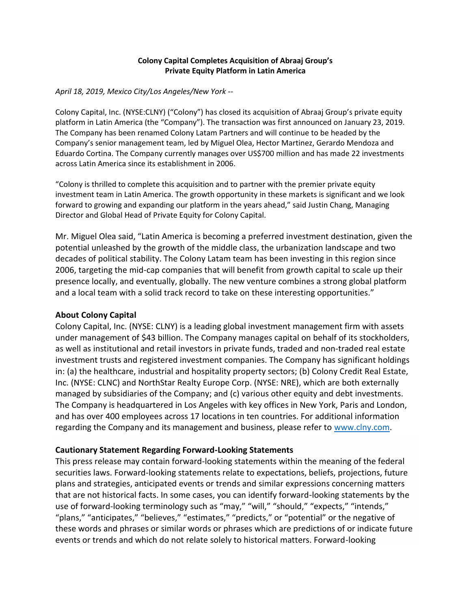### **Colony Capital Completes Acquisition of Abraaj Group's Private Equity Platform in Latin America**

#### *April 18, 2019, Mexico City/Los Angeles/New York --*

Colony Capital, Inc. (NYSE:CLNY) ("Colony") has closed its acquisition of Abraaj Group's private equity platform in Latin America (the "Company"). The transaction was first announced on January 23, 2019. The Company has been renamed Colony Latam Partners and will continue to be headed by the Company's senior management team, led by Miguel Olea, Hector Martinez, Gerardo Mendoza and Eduardo Cortina. The Company currently manages over US\$700 million and has made 22 investments across Latin America since its establishment in 2006.

"Colony is thrilled to complete this acquisition and to partner with the premier private equity investment team in Latin America. The growth opportunity in these markets is significant and we look forward to growing and expanding our platform in the years ahead," said Justin Chang, Managing Director and Global Head of Private Equity for Colony Capital.

Mr. Miguel Olea said, "Latin America is becoming a preferred investment destination, given the potential unleashed by the growth of the middle class, the urbanization landscape and two decades of political stability. The Colony Latam team has been investing in this region since 2006, targeting the mid-cap companies that will benefit from growth capital to scale up their presence locally, and eventually, globally. The new venture combines a strong global platform and a local team with a solid track record to take on these interesting opportunities."

# **About Colony Capital**

Colony Capital, Inc. (NYSE: CLNY) is a leading global investment management firm with assets under management of \$43 billion. The Company manages capital on behalf of its stockholders, as well as institutional and retail investors in private funds, traded and non-traded real estate investment trusts and registered investment companies. The Company has significant holdings in: (a) the healthcare, industrial and hospitality property sectors; (b) Colony Credit Real Estate, Inc. (NYSE: CLNC) and NorthStar Realty Europe Corp. (NYSE: NRE), which are both externally managed by subsidiaries of the Company; and (c) various other equity and debt investments. The Company is headquartered in Los Angeles with key offices in New York, Paris and London, and has over 400 employees across 17 locations in ten countries. For additional information regarding the Company and its management and business, please refer to [www.clny.com.](https://cts.businesswire.com/ct/CT?id=smartlink&url=http%3A%2F%2Fwww.clny.com&esheet=51967284&newsitemid=20190412005002&lan=en-US&anchor=www.clny.com&index=2&md5=dc222a270bd140ef615792912c7075aa)

# **Cautionary Statement Regarding Forward-Looking Statements**

This press release may contain forward-looking statements within the meaning of the federal securities laws. Forward-looking statements relate to expectations, beliefs, projections, future plans and strategies, anticipated events or trends and similar expressions concerning matters that are not historical facts. In some cases, you can identify forward-looking statements by the use of forward-looking terminology such as "may," "will," "should," "expects," "intends," "plans," "anticipates," "believes," "estimates," "predicts," or "potential" or the negative of these words and phrases or similar words or phrases which are predictions of or indicate future events or trends and which do not relate solely to historical matters. Forward-looking